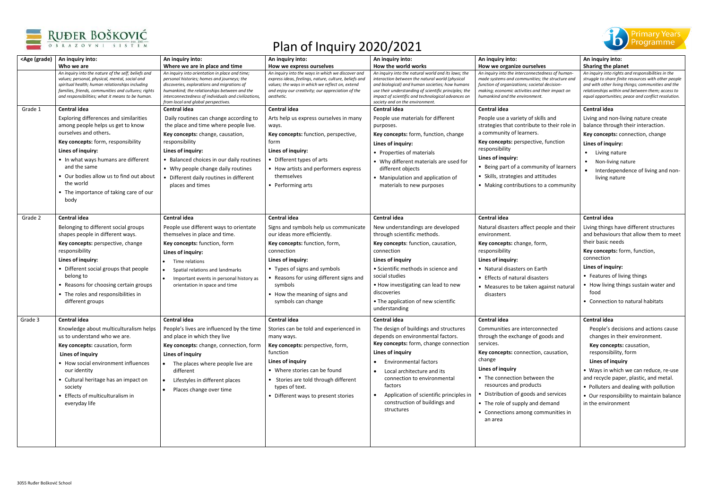



| <age (grade)<="" th=""><th>An inquiry into:</th><th>An inquiry into:</th><th>An inquiry into:</th><th>An inquiry into:</th><th>An inquiry into:</th><th>An inquiry into:</th></age> | An inquiry into:                                                                                                                                                                                                                                                                                                                 | An inquiry into:                                                                                                                                                                                                                                                                                            | An inquiry into:                                                                                                                                                                                                                                                                       | An inquiry into:                                                                                                                                                                                                                                                                                                                                                            | An inquiry into:                                                                                                                                                                                                                                                                                                                                                  | An inquiry into:                                                                                                                                                                                                                                                                                                                                                    |
|-------------------------------------------------------------------------------------------------------------------------------------------------------------------------------------|----------------------------------------------------------------------------------------------------------------------------------------------------------------------------------------------------------------------------------------------------------------------------------------------------------------------------------|-------------------------------------------------------------------------------------------------------------------------------------------------------------------------------------------------------------------------------------------------------------------------------------------------------------|----------------------------------------------------------------------------------------------------------------------------------------------------------------------------------------------------------------------------------------------------------------------------------------|-----------------------------------------------------------------------------------------------------------------------------------------------------------------------------------------------------------------------------------------------------------------------------------------------------------------------------------------------------------------------------|-------------------------------------------------------------------------------------------------------------------------------------------------------------------------------------------------------------------------------------------------------------------------------------------------------------------------------------------------------------------|---------------------------------------------------------------------------------------------------------------------------------------------------------------------------------------------------------------------------------------------------------------------------------------------------------------------------------------------------------------------|
|                                                                                                                                                                                     | Who we are                                                                                                                                                                                                                                                                                                                       | Where we are in place and time                                                                                                                                                                                                                                                                              | How we express ourselves                                                                                                                                                                                                                                                               | How the world works                                                                                                                                                                                                                                                                                                                                                         | How we organize ourselves                                                                                                                                                                                                                                                                                                                                         | Sharing the planet                                                                                                                                                                                                                                                                                                                                                  |
|                                                                                                                                                                                     | An inquiry into the nature of the self; beliefs and<br>values; personal, physical, mental, social and<br>spiritual health; human relationships including<br>families, friends, communities and cultures; rights<br>and responsibilities; what it means to be human.                                                              | An inquiry into orientation in place and time;<br>personal histories; homes and journeys; the<br>discoveries, explorations and migrations of<br>humankind; the relationships between and the<br>interconnectedness of individuals and civilizations,<br>from local and global perspectives.                 | An inquiry into the ways in which we discover and<br>express ideas, feelings, nature, culture, beliefs and<br>values; the ways in which we reflect on, extend<br>and enjoy our creativity; our appreciation of the<br>aesthetic.                                                       | An inquiry into the natural world and its laws; the<br>interaction between the natural world (physical<br>and biological) and human societies; how humans<br>use their understanding of scientific principles; the<br>impact of scientific and technological advances on<br>society and on the environment.                                                                 | An inquiry into the interconnectedness of human<br>made systems and communities; the structure and<br>function of organizations; societal decision-<br>making; economic activities and their impact on<br>humankind and the environment.                                                                                                                          | An inquiry into rights and responsibilities in the<br>struggle to share finite resources with other people<br>and with other living things; communities and the<br>relationships within and between them; access to<br>equal opportunities; peace and conflict resolution.                                                                                          |
| Grade 1                                                                                                                                                                             | <b>Central idea</b>                                                                                                                                                                                                                                                                                                              | <b>Central idea</b>                                                                                                                                                                                                                                                                                         | <b>Central idea</b>                                                                                                                                                                                                                                                                    | Central idea                                                                                                                                                                                                                                                                                                                                                                | <b>Central idea</b>                                                                                                                                                                                                                                                                                                                                               | <b>Central idea</b>                                                                                                                                                                                                                                                                                                                                                 |
|                                                                                                                                                                                     | Exploring differences and similarities<br>among people helps us get to know<br>ourselves and others.<br>Key concepts: form, responsibility<br>Lines of inquiry:<br>• In what ways humans are different<br>and the same<br>• Our bodies allow us to find out about<br>the world<br>• The importance of taking care of our<br>body | Daily routines can change according to<br>the place and time where people live.<br>Key concepts: change, causation,<br>responsibility<br>Lines of inquiry:<br>• Balanced choices in our daily routines<br>• Why people change daily routines<br>• Different daily routines in different<br>places and times | Arts help us express ourselves in many<br>ways.<br>Key concepts: function, perspective,<br>form<br>Lines of inquiry:<br>• Different types of arts<br>• How artists and performers express<br>themselves<br>• Performing arts                                                           | People use materials for different<br>purposes.<br>Key concepts: form, function, change<br>Lines of inquiry:<br>• Properties of materials<br>• Why different materials are used for<br>different objects<br>• Manipulation and application of<br>materials to new purposes                                                                                                  | People use a variety of skills and<br>strategies that contribute to their role in<br>a community of learners.<br>Key concepts: perspective, function<br>responsibility<br>Lines of inquiry:<br>• Being part of a community of learners<br>• Skills, strategies and attitudes<br>• Making contributions to a community                                             | Living and non-living nature create<br>balance through their interaction.<br>Key concepts: connection, change<br>Lines of inquiry:<br>• Living nature<br>Non-living nature<br>Interdependence of living and non-<br>living nature                                                                                                                                   |
| Grade 2                                                                                                                                                                             | <b>Central idea</b>                                                                                                                                                                                                                                                                                                              | <b>Central idea</b>                                                                                                                                                                                                                                                                                         | <b>Central idea</b>                                                                                                                                                                                                                                                                    | Central idea                                                                                                                                                                                                                                                                                                                                                                | <b>Central idea</b>                                                                                                                                                                                                                                                                                                                                               | <b>Central idea</b>                                                                                                                                                                                                                                                                                                                                                 |
|                                                                                                                                                                                     | Belonging to different social groups<br>shapes people in different ways.<br>Key concepts: perspective, change<br>responsibility<br>Lines of inquiry:<br>• Different social groups that people<br>belong to<br>• Reasons for choosing certain groups<br>• The roles and responsibilities in<br>different groups                   | People use different ways to orientate<br>themselves in place and time.<br>Key concepts: function, form<br>Lines of inquiry:<br>Time relations<br>Spatial relations and landmarks<br>Important events in personal history as<br>orientation in space and time                                               | Signs and symbols help us communicate<br>our ideas more efficiently.<br>Key concepts: function, form,<br>connection<br>Lines of inquiry:<br>• Types of signs and symbols<br>• Reasons for using different signs and<br>symbols<br>• How the meaning of signs and<br>symbols can change | New understandings are developed<br>through scientific methods.<br>Key concepts: function, causation,<br>connection<br>Lines of inquiry<br>• Scientific methods in science and<br>social studies<br>• How investigating can lead to new<br>discoveries<br>• The application of new scientific                                                                               | Natural disasters affect people and their<br>environment.<br>Key concepts: change, form,<br>responsibility<br>Lines of inquiry:<br>• Natural disasters on Earth<br>• Effects of natural disasters<br>• Measures to be taken against natural<br>disasters                                                                                                          | Living things have different structures<br>and behaviours that allow them to meet<br>their basic needs<br>Key concepts: form, function,<br>connection<br>Lines of inquiry:<br>• Features of living things<br>• How living things sustain water and<br>food<br>• Connection to natural habitats                                                                      |
|                                                                                                                                                                                     |                                                                                                                                                                                                                                                                                                                                  |                                                                                                                                                                                                                                                                                                             |                                                                                                                                                                                                                                                                                        | understanding                                                                                                                                                                                                                                                                                                                                                               |                                                                                                                                                                                                                                                                                                                                                                   |                                                                                                                                                                                                                                                                                                                                                                     |
| Grade 3                                                                                                                                                                             | Central idea<br>Knowledge about multiculturalism helps<br>us to understand who we are.<br>Key concepts: causation, form<br>Lines of inquiry<br>• How social environment influences<br>our identity<br>• Cultural heritage has an impact on<br>society<br>• Effects of multiculturalism in<br>everyday life                       | <b>Central idea</b><br>People's lives are influenced by the time<br>and place in which they live<br>Key concepts: change, connection, form<br>Lines of inquiry<br>The places where people live are<br>different<br>Lifestyles in different places<br>Places change over time                                | <b>Central idea</b><br>Stories can be told and experienced in<br>many ways.<br>Key concepts: perspective, form,<br>function<br>Lines of inquiry<br>• Where stories can be found<br>• Stories are told through different<br>types of text.<br>• Different ways to present stories       | <b>Central idea</b><br>The design of buildings and structures<br>depends on environmental factors.<br>Key concepts: form, change connection<br>Lines of inquiry<br>• Environmental factors<br>• Local architecture and its<br>connection to environmental<br>factors<br>Application of scientific principles in<br>$\bullet$<br>construction of buildings and<br>structures | <b>Central idea</b><br>Communities are interconnected<br>through the exchange of goods and<br>services.<br>Key concepts: connection, causation,<br>change<br>Lines of inquiry<br>• The connection between the<br>resources and products<br>Distribution of goods and services<br>• The role of supply and demand<br>• Connections among communities in<br>an area | <b>Central idea</b><br>People's decisions and actions cause<br>changes in their environment.<br>Key concepts: causation,<br>responsibility, form<br>Lines of inquiry<br>• Ways in which we can reduce, re-use<br>and recycle paper, plastic, and metal.<br>• Polluters and dealing with pollution<br>• Our responsibility to maintain balance<br>in the environment |